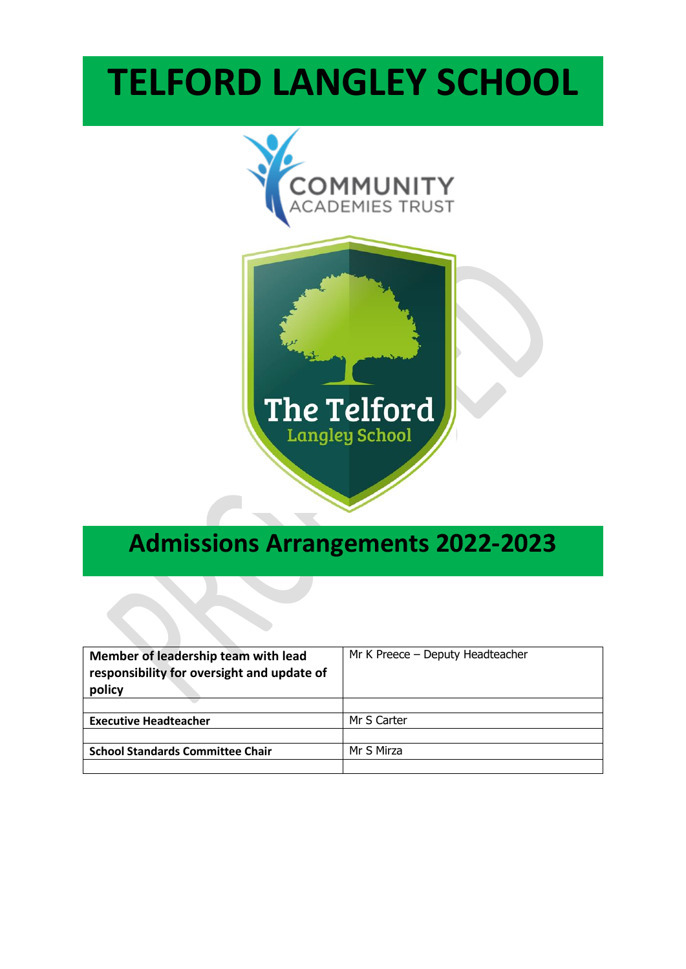# **TELFORD LANGLEY SCHOOL**



# **Admissions Arrangements 2022-2023**

| Member of leadership team with lead<br>responsibility for oversight and update of<br>policy | Mr K Preece - Deputy Headteacher |
|---------------------------------------------------------------------------------------------|----------------------------------|
|                                                                                             |                                  |
| <b>Executive Headteacher</b>                                                                | Mr S Carter                      |
|                                                                                             |                                  |
| <b>School Standards Committee Chair</b>                                                     | Mr S Mirza                       |
|                                                                                             |                                  |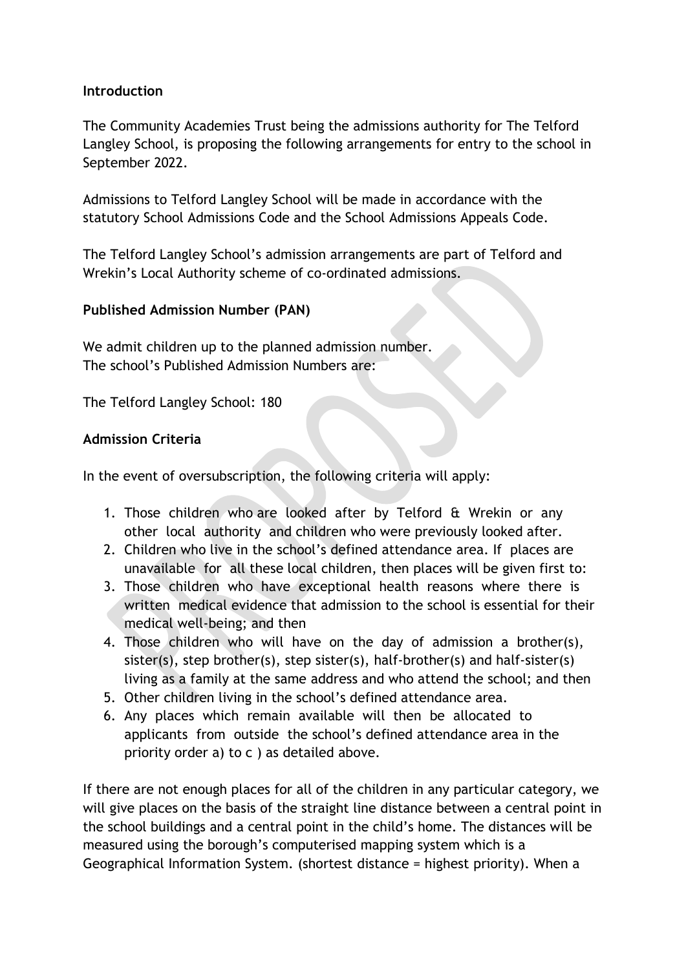#### **Introduction**

The Community Academies Trust being the admissions authority for The Telford Langley School, is proposing the following arrangements for entry to the school in September 2022.

Admissions to Telford Langley School will be made in accordance with the statutory School Admissions Code and the School Admissions Appeals Code.

The Telford Langley School's admission arrangements are part of Telford and Wrekin's Local Authority scheme of co-ordinated admissions.

# **Published Admission Number (PAN)**

We admit children up to the planned admission number. The school's Published Admission Numbers are:

The Telford Langley School: 180

# **Admission Criteria**

In the event of oversubscription, the following criteria will apply:

- 1. Those children who are looked after by Telford & Wrekin or any other local authority and children who were previously looked after.
- 2. Children who live in the school's defined attendance area. If places are unavailable for all these local children, then places will be given first to:
- 3. Those children who have exceptional health reasons where there is written medical evidence that admission to the school is essential for their medical well-being; and then
- 4. Those children who will have on the day of admission a brother(s), sister(s), step brother(s), step sister(s), half-brother(s) and half-sister(s) living as a family at the same address and who attend the school; and then
- 5. Other children living in the school's defined attendance area.
- 6. Any places which remain available will then be allocated to applicants from outside the school's defined attendance area in the priority order a) to c ) as detailed above.

If there are not enough places for all of the children in any particular category, we will give places on the basis of the straight line distance between a central point in the school buildings and a central point in the child's home. The distances will be measured using the borough's computerised mapping system which is a Geographical Information System. (shortest distance = highest priority). When a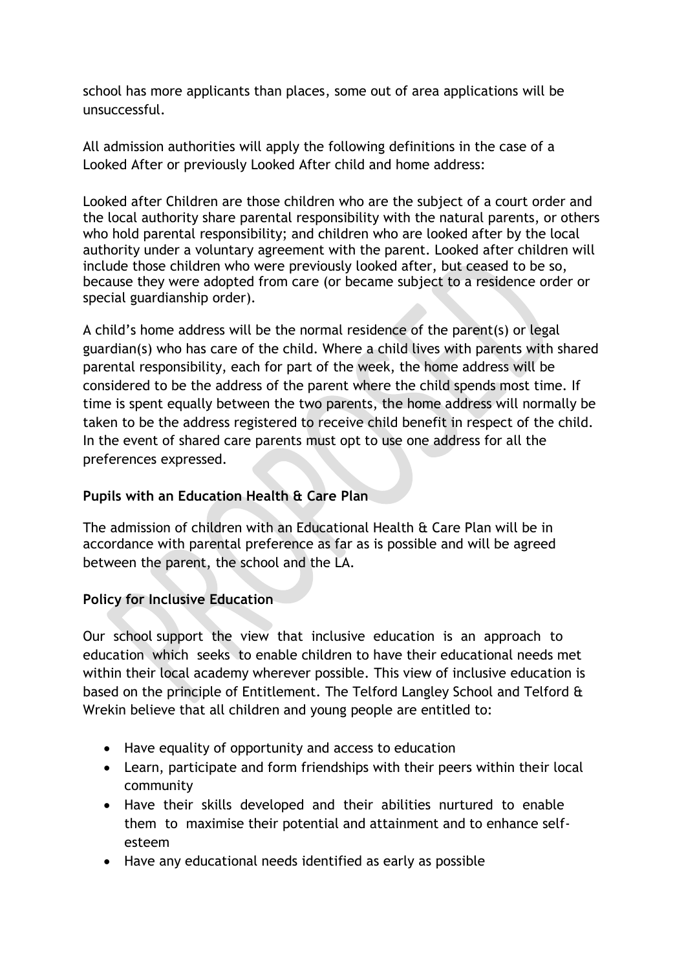school has more applicants than places, some out of area applications will be unsuccessful.

All admission authorities will apply the following definitions in the case of a Looked After or previously Looked After child and home address:

Looked after Children are those children who are the subject of a court order and the local authority share parental responsibility with the natural parents, or others who hold parental responsibility; and children who are looked after by the local authority under a voluntary agreement with the parent. Looked after children will include those children who were previously looked after, but ceased to be so, because they were adopted from care (or became subject to a residence order or special guardianship order).

A child's home address will be the normal residence of the parent(s) or legal guardian(s) who has care of the child. Where a child lives with parents with shared parental responsibility, each for part of the week, the home address will be considered to be the address of the parent where the child spends most time. If time is spent equally between the two parents, the home address will normally be taken to be the address registered to receive child benefit in respect of the child. In the event of shared care parents must opt to use one address for all the preferences expressed.

# **Pupils with an Education Health & Care Plan**

The admission of children with an Educational Health & Care Plan will be in accordance with parental preference as far as is possible and will be agreed between the parent, the school and the LA.

# **Policy for Inclusive Education**

Our school support the view that inclusive education is an approach to education which seeks to enable children to have their educational needs met within their local academy wherever possible. This view of inclusive education is based on the principle of Entitlement. The Telford Langley School and Telford & Wrekin believe that all children and young people are entitled to:

- Have equality of opportunity and access to education
- Learn, participate and form friendships with their peers within their local community
- Have their skills developed and their abilities nurtured to enable them to maximise their potential and attainment and to enhance selfesteem
- Have any educational needs identified as early as possible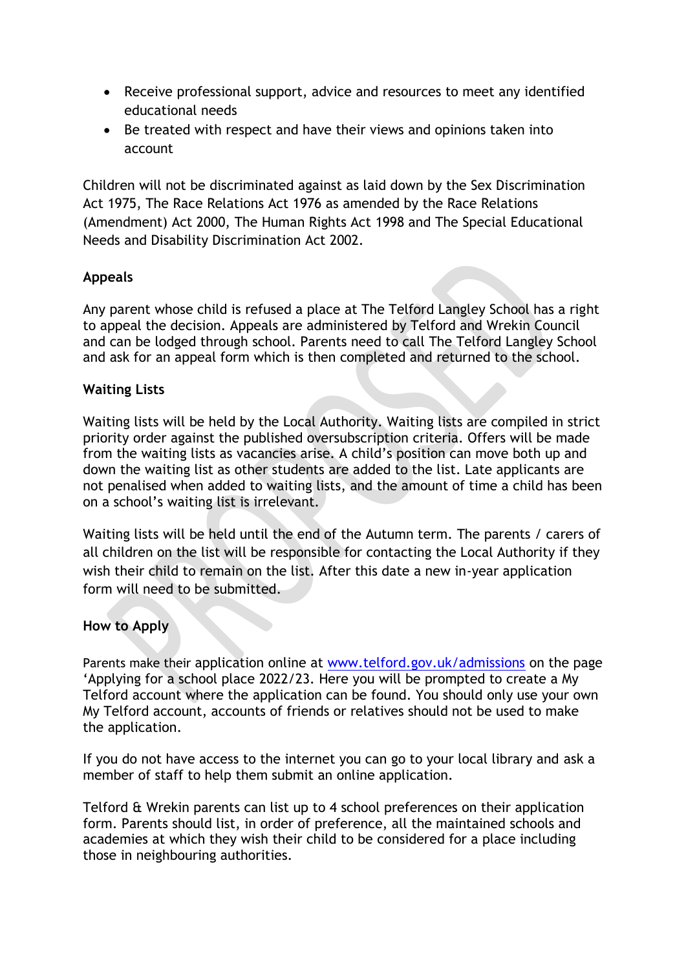- Receive professional support, advice and resources to meet any identified educational needs
- Be treated with respect and have their views and opinions taken into account

Children will not be discriminated against as laid down by the Sex Discrimination Act 1975, The Race Relations Act 1976 as amended by the Race Relations (Amendment) Act 2000, The Human Rights Act 1998 and The Special Educational Needs and Disability Discrimination Act 2002.

# **Appeals**

Any parent whose child is refused a place at The Telford Langley School has a right to appeal the decision. Appeals are administered by Telford and Wrekin Council and can be lodged through school. Parents need to call The Telford Langley School and ask for an appeal form which is then completed and returned to the school.

# **Waiting Lists**

Waiting lists will be held by the Local Authority. Waiting lists are compiled in strict priority order against the published oversubscription criteria. Offers will be made from the waiting lists as vacancies arise. A child's position can move both up and down the waiting list as other students are added to the list. Late applicants are not penalised when added to waiting lists, and the amount of time a child has been on a school's waiting list is irrelevant.

Waiting lists will be held until the end of the Autumn term. The parents / carers of all children on the list will be responsible for contacting the Local Authority if they wish their child to remain on the list. After this date a new in-year application form will need to be submitted.

# **How to Apply**

Parents make their application online at [www.telford.gov.uk/admissions](http://www.telford.gov.uk/admissions) on the page 'Applying for a school place 2022/23. Here you will be prompted to create a My Telford account where the application can be found. You should only use your own My Telford account, accounts of friends or relatives should not be used to make the application.

If you do not have access to the internet you can go to your local library and ask a member of staff to help them submit an online application.

Telford & Wrekin parents can list up to 4 school preferences on their application form. Parents should list, in order of preference, all the maintained schools and academies at which they wish their child to be considered for a place including those in neighbouring authorities.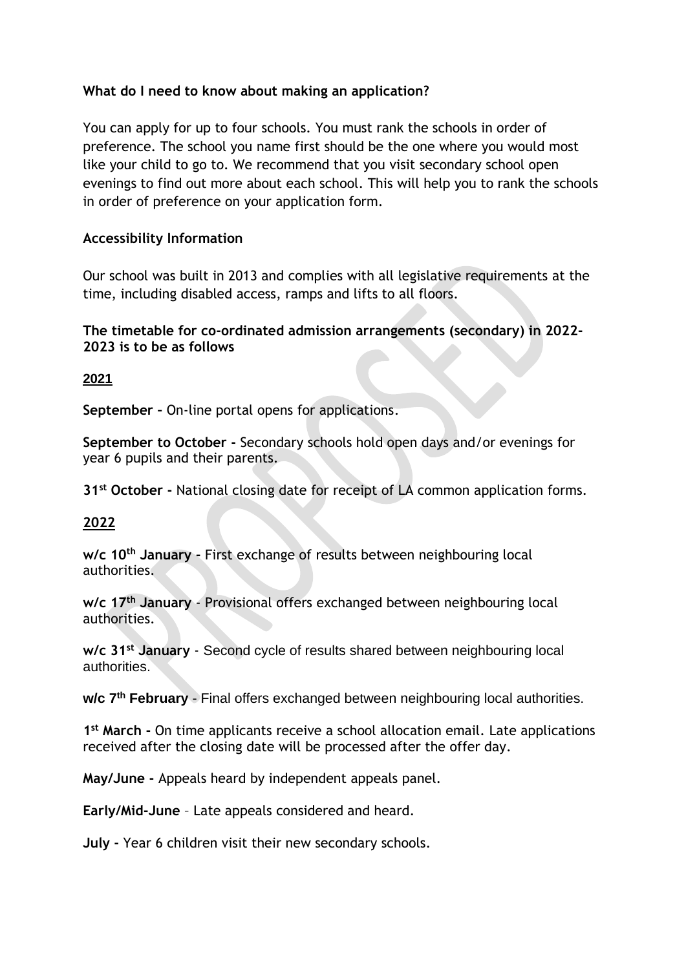# **What do I need to know about making an application?**

You can apply for up to four schools. You must rank the schools in order of preference. The school you name first should be the one where you would most like your child to go to. We recommend that you visit secondary school open evenings to find out more about each school. This will help you to rank the schools in order of preference on your application form.

# **Accessibility Information**

Our school was built in 2013 and complies with all legislative requirements at the time, including disabled access, ramps and lifts to all floors.

#### **The timetable for co-ordinated admission arrangements (secondary) in 2022- 2023 is to be as follows**

#### **2021**

**September –** On-line portal opens for applications.

**September to October -** Secondary schools hold open days and/or evenings for year 6 pupils and their parents.

**31st October -** National closing date for receipt of LA common application forms.

# **2022**

**w/c 10th January -** First exchange of results between neighbouring local authorities.

**w/c 17th January** - Provisional offers exchanged between neighbouring local authorities.

**w/c 31st January** - Second cycle of results shared between neighbouring local authorities.

**w/c 7th February** - Final offers exchanged between neighbouring local authorities.

**1 st March -** On time applicants receive a school allocation email. Late applications received after the closing date will be processed after the offer day.

**May/June -** Appeals heard by independent appeals panel.

**Early/Mid-June** – Late appeals considered and heard.

**July -** Year 6 children visit their new secondary schools.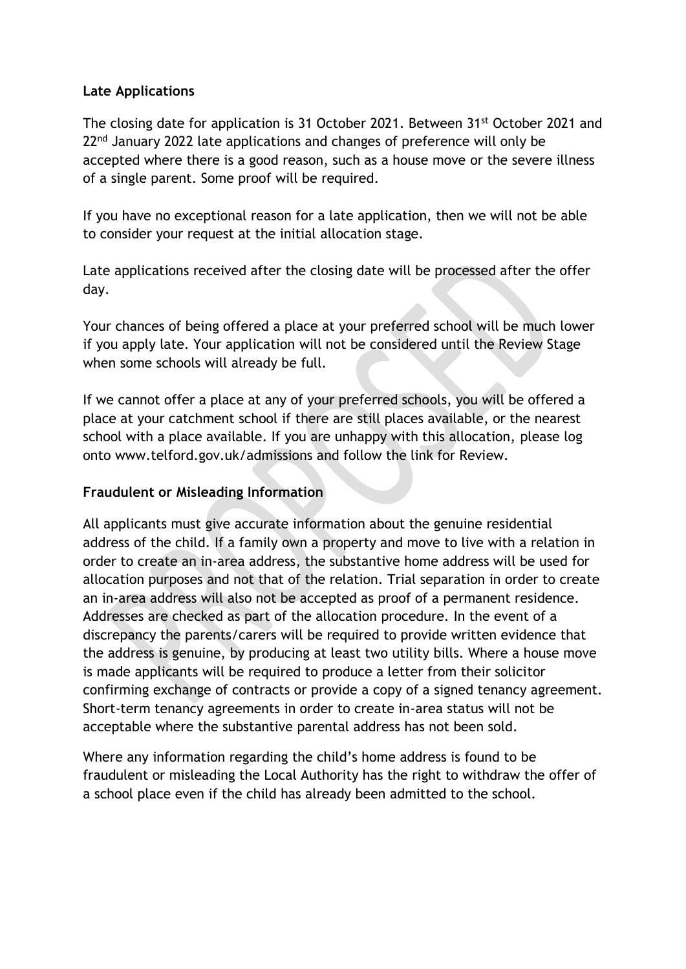# **Late Applications**

The closing date for application is 31 October 2021. Between 31st October 2021 and 22<sup>nd</sup> January 2022 late applications and changes of preference will only be accepted where there is a good reason, such as a house move or the severe illness of a single parent. Some proof will be required.

If you have no exceptional reason for a late application, then we will not be able to consider your request at the initial allocation stage.

Late applications received after the closing date will be processed after the offer day.

Your chances of being offered a place at your preferred school will be much lower if you apply late. Your application will not be considered until the Review Stage when some schools will already be full.

If we cannot offer a place at any of your preferred schools, you will be offered a place at your catchment school if there are still places available, or the nearest school with a place available. If you are unhappy with this allocation, please log onto www.telford.gov.uk/admissions and follow the link for Review.

# **Fraudulent or Misleading Information**

All applicants must give accurate information about the genuine residential address of the child. If a family own a property and move to live with a relation in order to create an in-area address, the substantive home address will be used for allocation purposes and not that of the relation. Trial separation in order to create an in-area address will also not be accepted as proof of a permanent residence. Addresses are checked as part of the allocation procedure. In the event of a discrepancy the parents/carers will be required to provide written evidence that the address is genuine, by producing at least two utility bills. Where a house move is made applicants will be required to produce a letter from their solicitor confirming exchange of contracts or provide a copy of a signed tenancy agreement. Short-term tenancy agreements in order to create in-area status will not be acceptable where the substantive parental address has not been sold.

Where any information regarding the child's home address is found to be fraudulent or misleading the Local Authority has the right to withdraw the offer of a school place even if the child has already been admitted to the school.